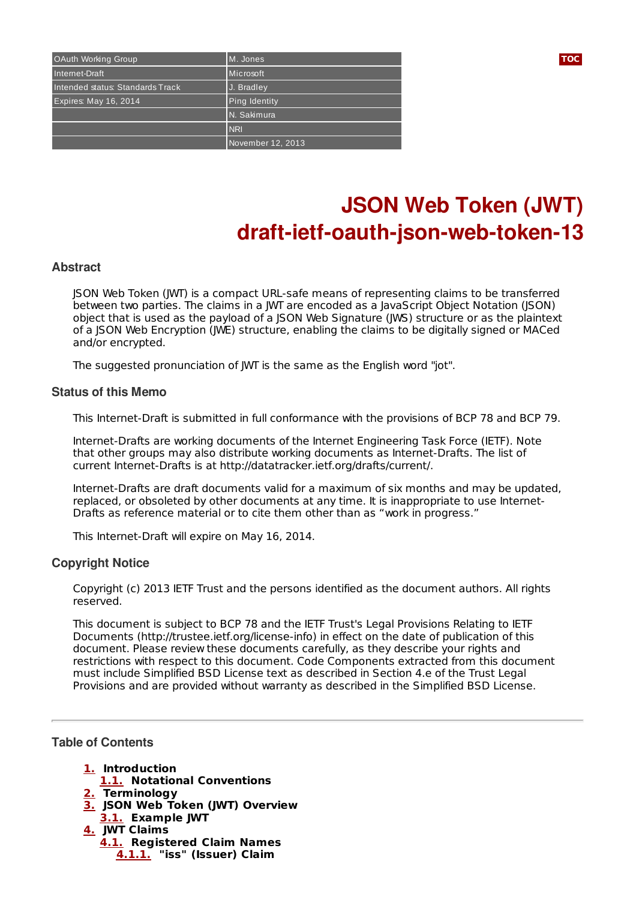| OAuth Working Group              | M. Jones             | <b>TOC</b> |
|----------------------------------|----------------------|------------|
| Internet-Draft                   | Microsoft            |            |
| Intended status: Standards Track | J. Bradley           |            |
| Expires: May 16, 2014            | <b>Ping Identity</b> |            |
|                                  | N. Sakimura          |            |
|                                  | <b>NRI</b>           |            |
|                                  | November 12, 2013    |            |

# **JSON Web Token (JWT) draft-ietf-oauth-json-web-token-13**

### **Abstract**

JSON Web Token (JWT) is a compact URL-safe means of representing claims to be transferred between two parties. The claims in a JWT are encoded as a JavaScript Object Notation (JSON) object that is used as the payload of a JSON Web Signature (JWS) structure or as the plaintext of a JSON Web Encryption (JWE) structure, enabling the claims to be digitally signed or MACed and/or encrypted.

The suggested pronunciation of JWT is the same as the English word "jot".

### **Status of this Memo**

This Internet-Draft is submitted in full conformance with the provisions of BCP 78 and BCP 79.

Internet-Drafts are working documents of the Internet Engineering Task Force (IETF). Note that other groups may also distribute working documents as Internet-Drafts. The list of current Internet-Drafts is at http://datatracker.ietf.org/drafts/current/.

Internet-Drafts are draft documents valid for a maximum of six months and may be updated, replaced, or obsoleted by other documents at any time. It is inappropriate to use Internet-Drafts as reference material or to cite them other than as "work in progress."

This Internet-Draft will expire on May 16, 2014.

### **Copyright Notice**

Copyright (c) 2013 IETF Trust and the persons identified as the document authors. All rights reserved.

This document is subject to BCP 78 and the IETF Trust's Legal Provisions Relating to IETF Documents (http://trustee.ietf.org/license-info) in effect on the date of publication of this document. Please review these documents carefully, as they describe your rights and restrictions with respect to this document. Code Components extracted from this document must include Simplified BSD License text as described in Section 4.e of the Trust Legal Provisions and are provided without warranty as described in the Simplified BSD License.

# <span id="page-0-0"></span>**Table of Contents**

**[1.](#page-1-0) Introduction**

- **[1.1.](#page-1-1) Notational Conventions**
- **[2.](#page-1-2) Terminology**
- **[3.](#page-2-0) JSON Web Token (JWT) Overview [3.1.](#page-3-0) Example JWT**
- **[4.](#page-4-0) JWT Claims**
- **[4.1.](#page-4-1) Registered Claim Names [4.1.1.](#page-4-2) "iss" (Issuer) Claim**

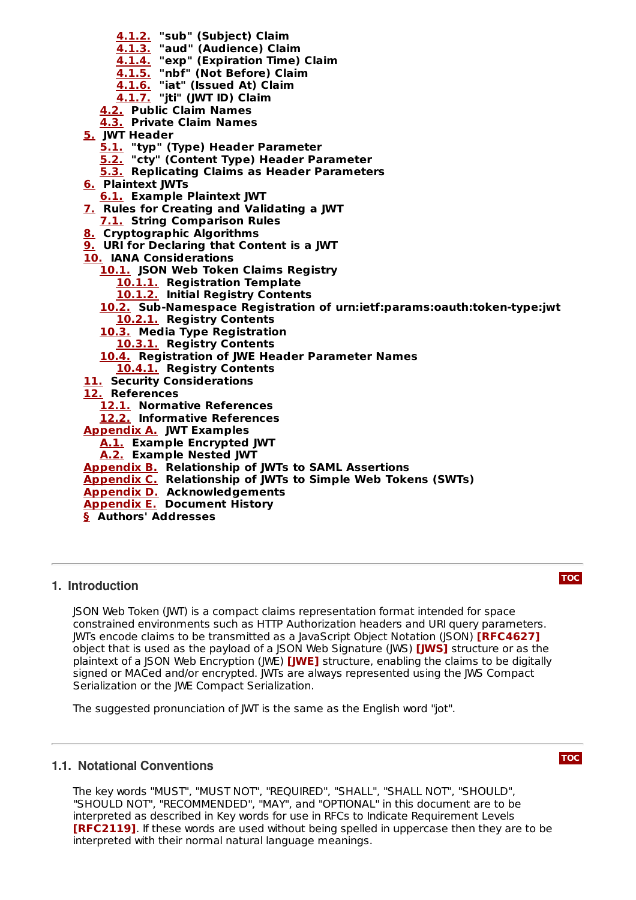- **[4.1.2.](#page-4-3) "sub" (Subject) Claim**
- **[4.1.3.](#page-5-0) "aud" (Audience) Claim**
- **[4.1.4.](#page-5-1) "exp" (Expiration Time) Claim**
- **[4.1.5.](#page-5-2) "nbf" (Not Before) Claim**
- **[4.1.6.](#page-5-3) "iat" (Issued At) Claim**
- **[4.1.7.](#page-5-4) "jti" (JWT ID) Claim**
- **[4.2.](#page-5-5) Public Claim Names [4.3.](#page-6-0) Private Claim Names**
- **[5.](#page-6-1) JWT Header**
	- **[5.1.](#page-6-2) "typ" (Type) Header Parameter**
	- **[5.2.](#page-6-3) "cty" (Content Type) Header Parameter**
	- **[5.3.](#page-6-4) Replicating Claims as Header Parameters**
- **[6.](#page-7-0) Plaintext JWTs**
	- **[6.1.](#page-7-1) Example Plaintext JWT**
- **[7.](#page-7-2) Rules for Creating and Validating a JWT**
- **[7.1.](#page-8-0) String Comparison Rules**
- **[8.](#page-9-0) Cryptographic Algorithms**
- **[9.](#page-9-1) URI for Declaring that Content is a JWT**
- **[10.](#page-9-2) IANA Considerations**
	- **[10.1.](#page-9-3) JSON Web Token Claims Registry**
		- **[10.1.1.](#page-10-0) Registration Template**
		- **[10.1.2.](#page-10-1) Initial Registry Contents**
	- **[10.2.](#page-11-0) Sub-Namespace Registration of urn:ietf:params:oauth:token-type:jwt [10.2.1.](#page-11-1) Registry Contents**
	- **[10.3.](#page-11-2) Media Type Registration**
		- **[10.3.1.](#page-11-3) Registry Contents**
	- **[10.4.](#page-11-4) Registration of JWE Header Parameter Names**
	- **[10.4.1.](#page-12-0) Registry Contents**
- **[11.](#page-12-1) Security Considerations**
- **[12.](#page-12-2) References**
	- **[12.1.](#page-12-2) Normative References**
	- **[12.2.](#page-13-0) Informative References**
- **[Appendix](#page-13-1) A. JWT Examples**
	- **[A.1.](#page-13-2) Example Encrypted JWT**
	- **[A.2.](#page-14-0) Example Nested JWT**
- **[Appendix](#page-15-0) B. Relationship of JWTs to SAML Assertions**
- **[Appendix](#page-15-1) C. Relationship of JWTs to Simple Web Tokens (SWTs)**
- **[Appendix](#page-15-2) D. Acknowledgements**
- **[Appendix](#page-16-0) E. Document History**
- <span id="page-1-0"></span>**[§](#page-17-0) Authors' Addresses**

# **1. Introduction**

JSON Web Token (JWT) is a compact claims representation format intended for space constrained environments such as HTTP Authorization headers and URI query parameters. JWTs encode claims to be transmitted as a JavaScript Object Notation (JSON) **[\[RFC4627\]](#page-13-3)** object that is used as the payload of a JSON Web Signature (JWS) **[\[JWS\]](#page-13-4)** structure or as the plaintext of a JSON Web Encryption (JWE) **[\[JWE\]](#page-12-3)** structure, enabling the claims to be digitally signed or MACed and/or encrypted. JWTs are always represented using the JWS Compact Serialization or the JWE Compact Serialization.

<span id="page-1-1"></span>The suggested pronunciation of JWT is the same as the English word "jot".

# **1.1. Notational Conventions**

<span id="page-1-2"></span>The key words "MUST", "MUST NOT", "REQUIRED", "SHALL", "SHALL NOT", "SHOULD", "SHOULD NOT", "RECOMMENDED", "MAY", and "OPTIONAL" in this document are to be interpreted as described in Key words for use in RFCs to Indicate Requirement Levels **[\[RFC2119\]](#page-13-5)**. If these words are used without being spelled in uppercase then they are to be interpreted with their normal natural language meanings.

# **[TOC](#page-0-0)**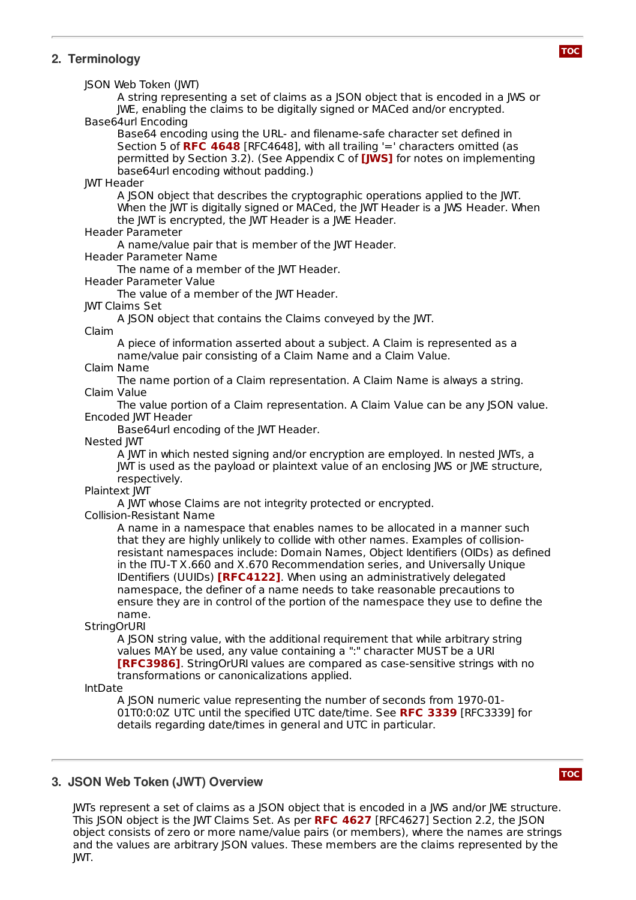# **2. Terminology**

JSON Web Token (JWT)

A string representing a set of claims as a JSON object that is encoded in a JWS or JWE, enabling the claims to be digitally signed or MACed and/or encrypted. Base64url Encoding

Base64 encoding using the URL- and filename-safe character set defined in Section 5 of **RFC [4648](#page-13-6)** [RFC4648], with all trailing '=' characters omitted (as permitted by Section 3.2). (See Appendix C of **[\[JWS\]](#page-13-4)** for notes on implementing base64url encoding without padding.)

JWT Header

A JSON object that describes the cryptographic operations applied to the JWT. When the JWT is digitally signed or MACed, the JWT Header is a JWS Header. When the JWT is encrypted, the JWT Header is a JWE Header.

### Header Parameter

A name/value pair that is member of the JWT Header.

Header Parameter Name

The name of a member of the JWT Header.

Header Parameter Value

The value of a member of the JWT Header.

#### JWT Claims Set

A JSON object that contains the Claims conveyed by the JWT.

#### Claim

A piece of information asserted about a subject. A Claim is represented as a name/value pair consisting of a Claim Name and a Claim Value.

Claim Name

The name portion of a Claim representation. A Claim Name is always a string. Claim Value

The value portion of a Claim representation. A Claim Value can be any JSON value. Encoded JWT Header

Base64url encoding of the JWT Header.

Nested JWT

A JWT in which nested signing and/or encryption are employed. In nested JWTs, a JWT is used as the payload or plaintext value of an enclosing JWS or JWE structure, respectively.

#### Plaintext JWT

A JWT whose Claims are not integrity protected or encrypted.

Collision-Resistant Name

A name in a namespace that enables names to be allocated in a manner such that they are highly unlikely to collide with other names. Examples of collisionresistant namespaces include: Domain Names, Object Identifiers (OIDs) as defined in the ITU-T X.660 and X.670 Recommendation series, and Universally Unique **IDentifiers (UUIDs) [\[RFC4122\]](#page-13-7). When using an administratively delegated** namespace, the definer of a name needs to take reasonable precautions to ensure they are in control of the portion of the namespace they use to define the name.

### **StringOrURI**

A JSON string value, with the additional requirement that while arbitrary string values MAY be used, any value containing a ":" character MUST be a URI **[\[RFC3986\]](#page-13-8).** StringOrURI values are compared as case-sensitive strings with no transformations or canonicalizations applied.

IntDate

A JSON numeric value representing the number of seconds from 1970-01- 01T0:0:0Z UTC until the specified UTC date/time. See **RFC [3339](#page-13-9)** [RFC3339] for details regarding date/times in general and UTC in particular.

# <span id="page-2-0"></span>**3. JSON Web Token (JWT) Overview**

**[TOC](#page-0-0)**

JWTs represent a set of claims as a JSON object that is encoded in a JWS and/or JWE structure. This JSON object is the JWT Claims Set. As per **RFC [4627](#page-13-3)** [RFC4627] Section 2.2, the JSON object consists of zero or more name/value pairs (or members), where the names are strings and the values are arbitrary JSON values. These members are the claims represented by the JWT.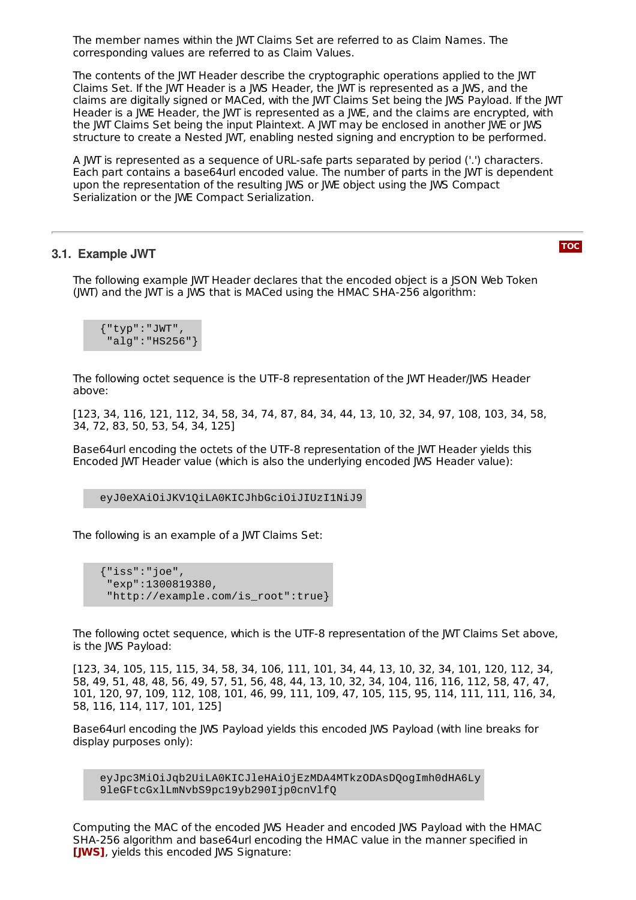The member names within the JWT Claims Set are referred to as Claim Names. The corresponding values are referred to as Claim Values.

The contents of the JWT Header describe the cryptographic operations applied to the JWT Claims Set. If the JWT Header is a JWS Header, the JWT is represented as a JWS, and the claims are digitally signed or MACed, with the JWT Claims Set being the JWS Payload. If the JWT Header is a JWE Header, the JWT is represented as a JWE, and the claims are encrypted, with the JWT Claims Set being the input Plaintext. A JWT may be enclosed in another JWE or JWS structure to create a Nested JWT, enabling nested signing and encryption to be performed.

A JWT is represented as a sequence of URL-safe parts separated by period ('.') characters. Each part contains a base64url encoded value. The number of parts in the JWT is dependent upon the representation of the resulting JWS or JWE object using the JWS Compact Serialization or the JWE Compact Serialization.

### <span id="page-3-0"></span>**3.1. Example JWT**

**[TOC](#page-0-0)**

The following example JWT Header declares that the encoded object is a JSON Web Token (JWT) and the JWT is a JWS that is MACed using the HMAC SHA-256 algorithm:

{"typ":"JWT", "alg":"HS256"}

The following octet sequence is the UTF-8 representation of the JWT Header/JWS Header above:

[123, 34, 116, 121, 112, 34, 58, 34, 74, 87, 84, 34, 44, 13, 10, 32, 34, 97, 108, 103, 34, 58, 34, 72, 83, 50, 53, 54, 34, 125]

Base64url encoding the octets of the UTF-8 representation of the JWT Header yields this Encoded JWT Header value (which is also the underlying encoded JWS Header value):

eyJ0eXAiOiJKV1QiLA0KICJhbGciOiJIUzI1NiJ9

The following is an example of a JWT Claims Set:

```
{"iss":"joe",
"exp":1300819380,
 "http://example.com/is_root":true}
```
The following octet sequence, which is the UTF-8 representation of the JWT Claims Set above, is the JWS Payload:

[123, 34, 105, 115, 115, 34, 58, 34, 106, 111, 101, 34, 44, 13, 10, 32, 34, 101, 120, 112, 34, 58, 49, 51, 48, 48, 56, 49, 57, 51, 56, 48, 44, 13, 10, 32, 34, 104, 116, 116, 112, 58, 47, 47, 101, 120, 97, 109, 112, 108, 101, 46, 99, 111, 109, 47, 105, 115, 95, 114, 111, 111, 116, 34, 58, 116, 114, 117, 101, 125]

Base64url encoding the JWS Payload yields this encoded JWS Payload (with line breaks for display purposes only):

eyJpc3MiOiJqb2UiLA0KICJleHAiOjEzMDA4MTkzODAsDQogImh0dHA6Ly 9leGFtcGxlLmNvbS9pc19yb290Ijp0cnVlfQ

Computing the MAC of the encoded JWS Header and encoded JWS Payload with the HMAC SHA-256 algorithm and base64url encoding the HMAC value in the manner specified in **[\[JWS\]](#page-13-4)**, yields this encoded JWS Signature: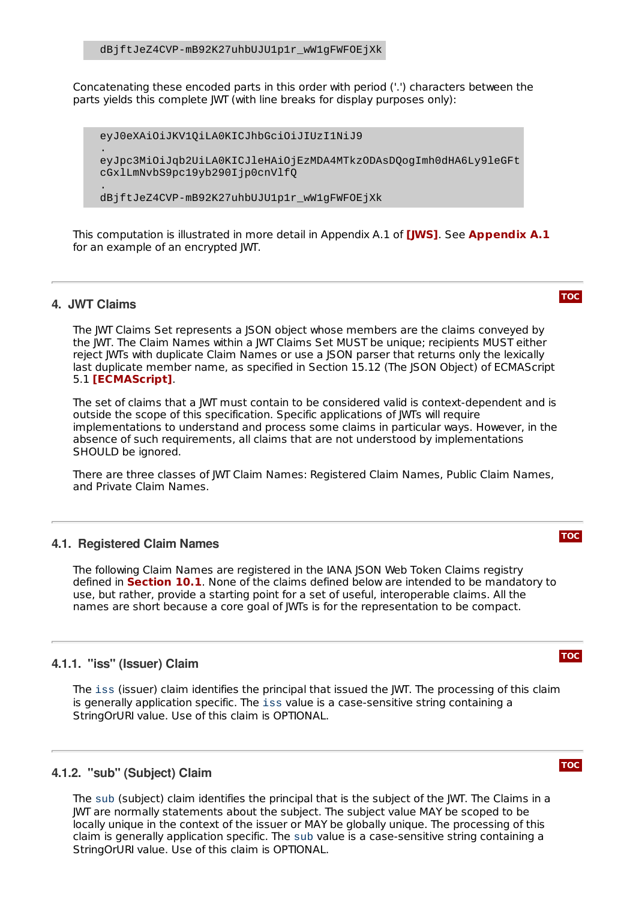Concatenating these encoded parts in this order with period ('.') characters between the parts yields this complete JWT (with line breaks for display purposes only):

eyJ0eXAiOiJKV1QiLA0KICJhbGciOiJIUzI1NiJ9 . eyJpc3MiOiJqb2UiLA0KICJleHAiOjEzMDA4MTkzODAsDQogImh0dHA6Ly9leGFt cGxlLmNvbS9pc19yb290Ijp0cnVlfQ

dBjftJeZ4CVP-mB92K27uhbUJU1p1r\_wW1gFWFOEjXk

This computation is illustrated in more detail in [Appendix](#page-13-2) A.1 of **[\[JWS\]](#page-13-4)**. See Appendix A.1 for an example of an encrypted JWT.

#### <span id="page-4-0"></span>**4. JWT Claims**

.

The JWT Claims Set represents a JSON object whose members are the claims conveyed by the JWT. The Claim Names within a JWT Claims Set MUST be unique; recipients MUST either reject JWTs with duplicate Claim Names or use a JSON parser that returns only the lexically last duplicate member name, as specified in Section 15.12 (The JSON Object) of ECMAScript 5.1 **[\[ECMAScript\]](#page-12-4)**.

The set of claims that a JWT must contain to be considered valid is context-dependent and is outside the scope of this specification. Specific applications of JWTs will require implementations to understand and process some claims in particular ways. However, in the absence of such requirements, all claims that are not understood by implementations SHOULD be ignored.

There are three classes of JWT Claim Names: Registered Claim Names, Public Claim Names, and Private Claim Names.

### <span id="page-4-1"></span>**4.1. Registered Claim Names**

The following Claim Names are registered in the IANA JSON Web Token Claims registry defined in **[Section](#page-9-3) 10.1**. None of the claims defined below are intended to be mandatory to use, but rather, provide a starting point for a set of useful, interoperable claims. All the names are short because a core goal of JWTs is for the representation to be compact.

#### <span id="page-4-2"></span>**4.1.1. "iss" (Issuer) Claim**

The iss (issuer) claim identifies the principal that issued the JWT. The processing of this claim is generally application specific. The iss value is a case-sensitive string containing a StringOrURI value. Use of this claim is OPTIONAL.

# <span id="page-4-3"></span>**4.1.2. "sub" (Subject) Claim**

The sub (subject) claim identifies the principal that is the subject of the JWT. The Claims in a JWT are normally statements about the subject. The subject value MAY be scoped to be locally unique in the context of the issuer or MAY be globally unique. The processing of this claim is generally application specific. The sub value is a case-sensitive string containing a StringOrURI value. Use of this claim is OPTIONAL.

#### **[TOC](#page-0-0)**

# **[TOC](#page-0-0)**

# **[TOC](#page-0-0)**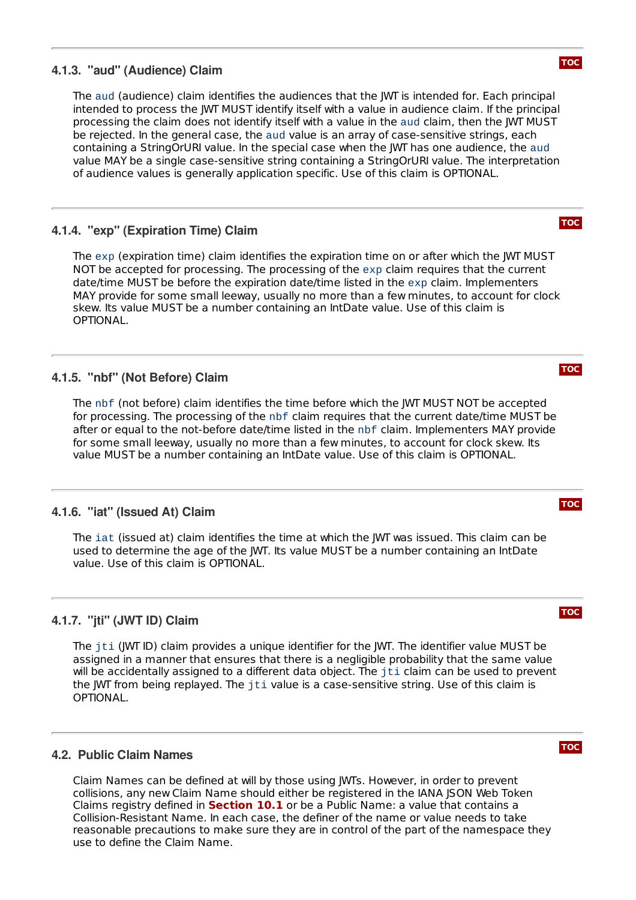# <span id="page-5-0"></span>**4.1.3. "aud" (Audience) Claim**

The aud (audience) claim identifies the audiences that the JWT is intended for. Each principal intended to process the JWT MUST identify itself with a value in audience claim. If the principal processing the claim does not identify itself with a value in the aud claim, then the JWT MUST be rejected. In the general case, the aud value is an array of case-sensitive strings, each containing a StringOrURI value. In the special case when the JWT has one audience, the aud value MAY be a single case-sensitive string containing a StringOrURI value. The interpretation of audience values is generally application specific. Use of this claim is OPTIONAL.

# <span id="page-5-1"></span>**4.1.4. "exp" (Expiration Time) Claim**

The exp (expiration time) claim identifies the expiration time on or after which the JWT MUST NOT be accepted for processing. The processing of the exp claim requires that the current date/time MUST be before the expiration date/time listed in the exp claim. Implementers MAY provide for some small leeway, usually no more than a few minutes, to account for clock skew. Its value MUST be a number containing an IntDate value. Use of this claim is OPTIONAL.

# <span id="page-5-2"></span>**4.1.5. "nbf" (Not Before) Claim**

The nbf (not before) claim identifies the time before which the JWT MUST NOT be accepted for processing. The processing of the nbf claim requires that the current date/time MUST be after or equal to the not-before date/time listed in the nbf claim. Implementers MAY provide for some small leeway, usually no more than a few minutes, to account for clock skew. Its value MUST be a number containing an IntDate value. Use of this claim is OPTIONAL.

# <span id="page-5-3"></span>**4.1.6. "iat" (Issued At) Claim**

The iat (issued at) claim identifies the time at which the JWT was issued. This claim can be used to determine the age of the JWT. Its value MUST be a number containing an IntDate value. Use of this claim is OPTIONAL.

# <span id="page-5-4"></span>**4.1.7. "jti" (JWT ID) Claim**

The jti (JWT ID) claim provides a unique identifier for the JWT. The identifier value MUST be assigned in a manner that ensures that there is a negligible probability that the same value will be accidentally assigned to a different data object. The jti claim can be used to prevent the JWT from being replayed. The jti value is a case-sensitive string. Use of this claim is OPTIONAL.

# <span id="page-5-5"></span>**4.2. Public Claim Names**

Claim Names can be defined at will by those using JWTs. However, in order to prevent collisions, any new Claim Name should either be registered in the IANA JSON Web Token Claims registry defined in **[Section](#page-9-3) 10.1** or be a Public Name: a value that contains a Collision-Resistant Name. In each case, the definer of the name or value needs to take reasonable precautions to make sure they are in control of the part of the namespace they use to define the Claim Name.

# **[TOC](#page-0-0)**

**[TOC](#page-0-0)**

#### **[TOC](#page-0-0)**

# **[TOC](#page-0-0)**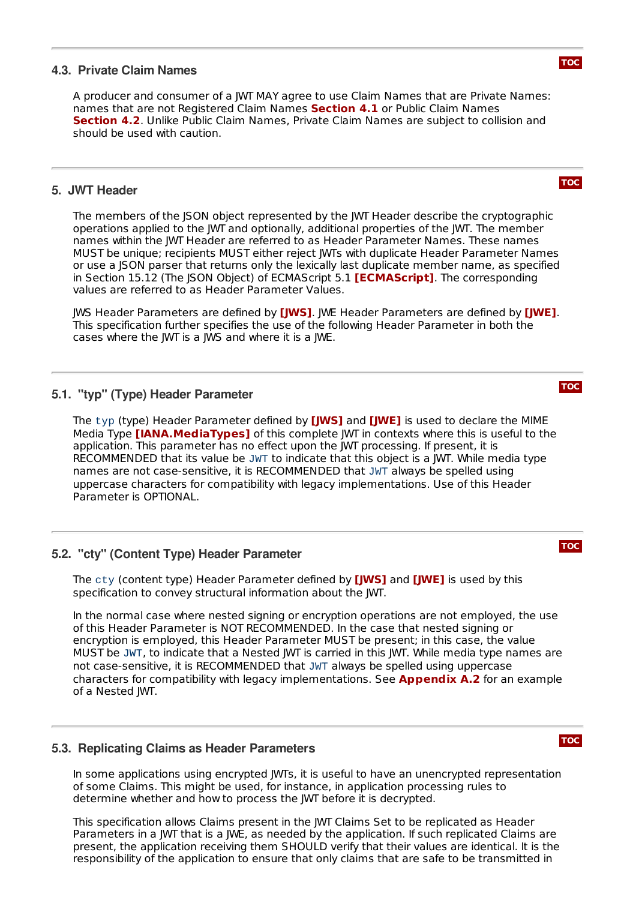# <span id="page-6-0"></span>**4.3. Private Claim Names**

A producer and consumer of a JWT MAY agree to use Claim Names that are Private Names: names that are not Registered Claim Names [Section](#page-4-1) 4.1 or Public Claim Names **[Section](#page-5-5) 4.2**. Unlike Public Claim Names, Private Claim Names are subject to collision and should be used with caution.

## <span id="page-6-1"></span>**5. JWT Header**

The members of the JSON object represented by the JWT Header describe the cryptographic operations applied to the JWT and optionally, additional properties of the JWT. The member names within the JWT Header are referred to as Header Parameter Names. These names MUST be unique; recipients MUST either reject JWTs with duplicate Header Parameter Names or use a JSON parser that returns only the lexically last duplicate member name, as specified in Section 15.12 (The JSON Object) of ECMAScript 5.1 **[\[ECMAScript\]](#page-12-4)**. The corresponding values are referred to as Header Parameter Values.

JWS Header Parameters are defined by **[\[JWS\]](#page-13-4)**. JWE Header Parameters are defined by **[\[JWE\]](#page-12-3)**. This specification further specifies the use of the following Header Parameter in both the cases where the JWT is a JWS and where it is a JWE.

# <span id="page-6-2"></span>**5.1. "typ" (Type) Header Parameter**

The typ (type) Header Parameter defined by **[\[JWS\]](#page-13-4)** and **[\[JWE\]](#page-12-3)** is used to declare the MIME Media Type **[\[IANA.MediaTypes\]](#page-12-5)** of this complete JWT in contexts where this is useful to the application. This parameter has no effect upon the JWT processing. If present, it is RECOMMENDED that its value be JWT to indicate that this object is a JWT. While media type names are not case-sensitive, it is RECOMMENDED that JWT always be spelled using uppercase characters for compatibility with legacy implementations. Use of this Header Parameter is OPTIONAL.

# <span id="page-6-3"></span>**5.2. "cty" (Content Type) Header Parameter**

The <code>cty</code> (content type) Header Parameter defined by [\[JWS\]](#page-13-4) and [\[JWE\]](#page-12-3) is used by this specification to convey structural information about the JWT.

In the normal case where nested signing or encryption operations are not employed, the use of this Header Parameter is NOT RECOMMENDED. In the case that nested signing or encryption is employed, this Header Parameter MUST be present; in this case, the value MUST be JWT, to indicate that a Nested JWT is carried in this JWT. While media type names are not case-sensitive, it is RECOMMENDED that JWT always be spelled using uppercase characters for compatibility with legacy implementations. See **[Appendix](#page-14-0) A.2** for an example of a Nested JWT.

### <span id="page-6-4"></span>**5.3. Replicating Claims as Header Parameters**

In some applications using encrypted JWTs, it is useful to have an unencrypted representation of some Claims. This might be used, for instance, in application processing rules to determine whether and how to process the JWT before it is decrypted.

This specification allows Claims present in the JWT Claims Set to be replicated as Header Parameters in a JWT that is a JWE, as needed by the application. If such replicated Claims are present, the application receiving them SHOULD verify that their values are identical. It is the responsibility of the application to ensure that only claims that are safe to be transmitted in

**[TOC](#page-0-0)**

**[TOC](#page-0-0)**

**[TOC](#page-0-0)**

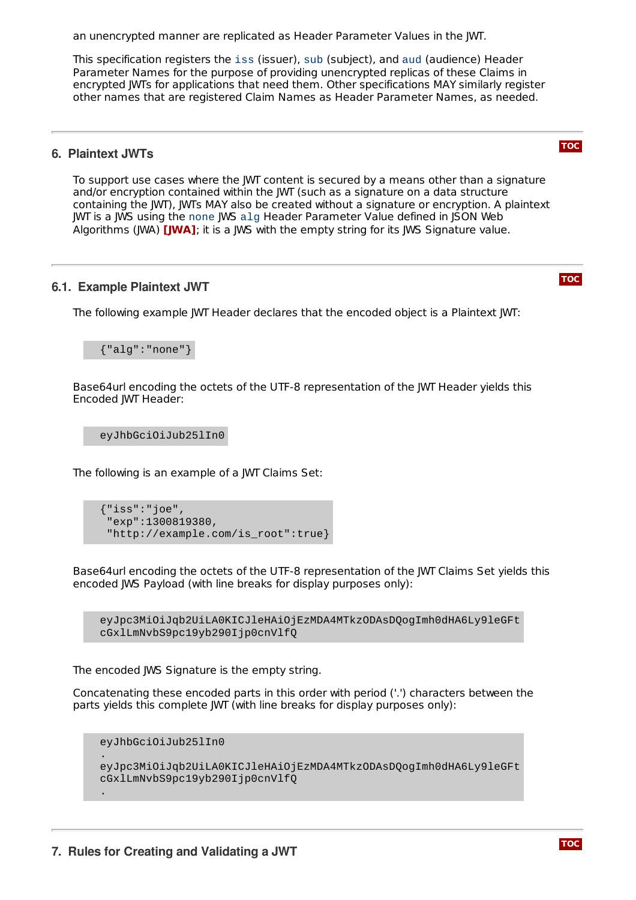an unencrypted manner are replicated as Header Parameter Values in the JWT.

This specification registers the iss (issuer), sub (subject), and aud (audience) Header Parameter Names for the purpose of providing unencrypted replicas of these Claims in encrypted JWTs for applications that need them. Other specifications MAY similarly register other names that are registered Claim Names as Header Parameter Names, as needed.

### <span id="page-7-0"></span>**6. Plaintext JWTs**

To support use cases where the JWT content is secured by a means other than a signature and/or encryption contained within the JWT (such as a signature on a data structure containing the JWT), JWTs MAY also be created without a signature or encryption. A plaintext JWT is a JWS using the none JWS alg Header Parameter Value defined in JSON Web Algorithms (JWA) **[\[JWA\]](#page-12-6)**; it is a JWS with the empty string for its JWS Signature value.

# <span id="page-7-1"></span>**6.1. Example Plaintext JWT**

The following example JWT Header declares that the encoded object is a Plaintext JWT:

{"alg":"none"}

Base64url encoding the octets of the UTF-8 representation of the JWT Header yields this Encoded JWT Header:

eyJhbGciOiJub25lIn0

The following is an example of a JWT Claims Set:

{"iss":"joe", "exp":1300819380, "http://example.com/is\_root":true}

Base64url encoding the octets of the UTF-8 representation of the JWT Claims Set yields this encoded JWS Payload (with line breaks for display purposes only):

eyJpc3MiOiJqb2UiLA0KICJleHAiOjEzMDA4MTkzODAsDQogImh0dHA6Ly9leGFt cGxlLmNvbS9pc19yb290Ijp0cnVlfQ

The encoded JWS Signature is the empty string.

Concatenating these encoded parts in this order with period ('.') characters between the parts yields this complete JWT (with line breaks for display purposes only):

eyJhbGciOiJub25lIn0

.

<span id="page-7-2"></span>.

eyJpc3MiOiJqb2UiLA0KICJleHAiOjEzMDA4MTkzODAsDQogImh0dHA6Ly9leGFt cGxlLmNvbS9pc19yb290Ijp0cnVlfQ



**[TOC](#page-0-0)**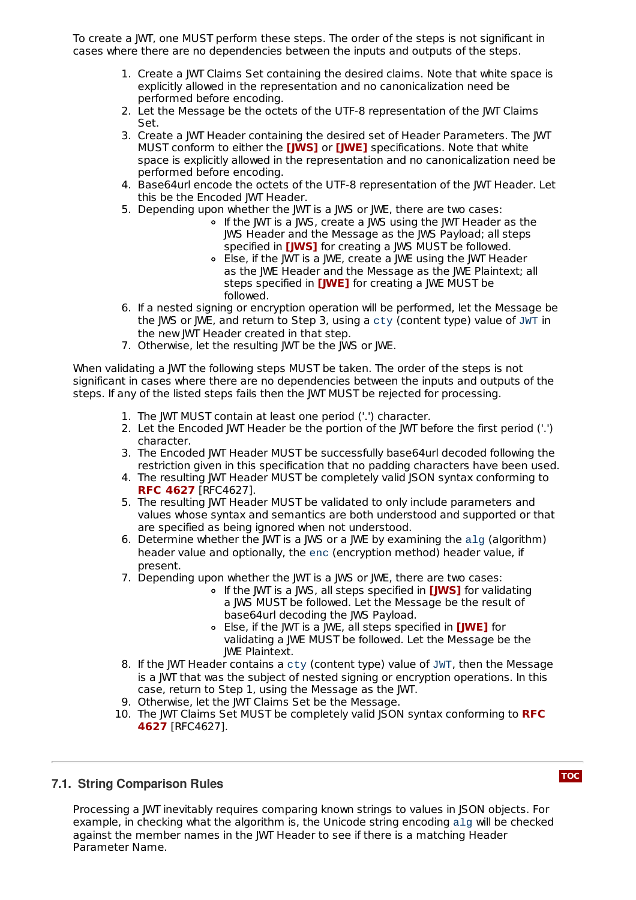To create a JWT, one MUST perform these steps. The order of the steps is not significant in cases where there are no dependencies between the inputs and outputs of the steps.

- 1. Create a JWT Claims Set containing the desired claims. Note that white space is explicitly allowed in the representation and no canonicalization need be performed before encoding.
- 2. Let the Message be the octets of the UTF-8 representation of the JWT Claims Set.
- 3. Create a JWT Header containing the desired set of Header Parameters. The JWT MUST conform to either the **[\[JWS\]](#page-13-4)** or **[\[JWE\]](#page-12-3)** specifications. Note that white space is explicitly allowed in the representation and no canonicalization need be performed before encoding.
- 4. Base64url encode the octets of the UTF-8 representation of the JWT Header. Let this be the Encoded JWT Header.
- 5. Depending upon whether the JWT is a JWS or JWE, there are two cases:
	- o If the JWT is a JWS, create a JWS using the JWT Header as the JWS Header and the Message as the JWS Payload; all steps specified in **[\[JWS\]](#page-13-4)** for creating a JWS MUST be followed.
	- Else, if the JWT is a JWE, create a JWE using the JWT Header as the JWE Header and the Message as the JWE Plaintext; all steps specified in **[\[JWE\]](#page-12-3)** for creating a JWE MUST be followed.
- 6. If a nested signing or encryption operation will be performed, let the Message be the JWS or JWE, and return to Step 3, using a cty (content type) value of JWT in the new JWT Header created in that step.
- 7. Otherwise, let the resulting JWT be the JWS or JWE.

When validating a JWT the following steps MUST be taken. The order of the steps is not significant in cases where there are no dependencies between the inputs and outputs of the steps. If any of the listed steps fails then the JWT MUST be rejected for processing.

- 1. The IWT MUST contain at least one period (',') character.
- 2. Let the Encoded JWT Header be the portion of the JWT before the first period ('.') character.
- 3. The Encoded JWT Header MUST be successfully base64url decoded following the restriction given in this specification that no padding characters have been used.
- 4. The resulting JWT Header MUST be completely valid JSON syntax conforming to [RFC4627]. **RFC [4627](#page-13-3)**
- 5. The resulting JWT Header MUST be validated to only include parameters and values whose syntax and semantics are both understood and supported or that are specified as being ignored when not understood.
- 6. Determine whether the JWT is a JWS or a JWE by examining the alg (algorithm) header value and optionally, the enc (encryption method) header value, if present.
- 7. Depending upon whether the JWT is a JWS or JWE, there are two cases:
	- If the JWT is a JWS, all steps specified in **[\[JWS\]](#page-13-4)** for validating a JWS MUST be followed. Let the Message be the result of base64url decoding the JWS Payload.
	- Else, if the JWT is a JWE, all steps specified in **[\[JWE\]](#page-12-3)** for validating a JWE MUST be followed. Let the Message be the JWE Plaintext.
- 8. If the JWT Header contains a cty (content type) value of JWT, then the Message is a JWT that was the subject of nested signing or encryption operations. In this case, return to Step 1, using the Message as the JWT.
- 9. Otherwise, let the JWT Claims Set be the Message.
- 10. The JWT Claims Set MUST be completely valid JSON syntax [conforming](#page-13-3) to **RFC** [RFC4627]. **4627**

# <span id="page-8-0"></span>**7.1. String Comparison Rules**

Processing a JWT inevitably requires comparing known strings to values in JSON objects. For example, in checking what the algorithm is, the Unicode string encoding alg will be checked against the member names in the JWT Header to see if there is a matching Header Parameter Name.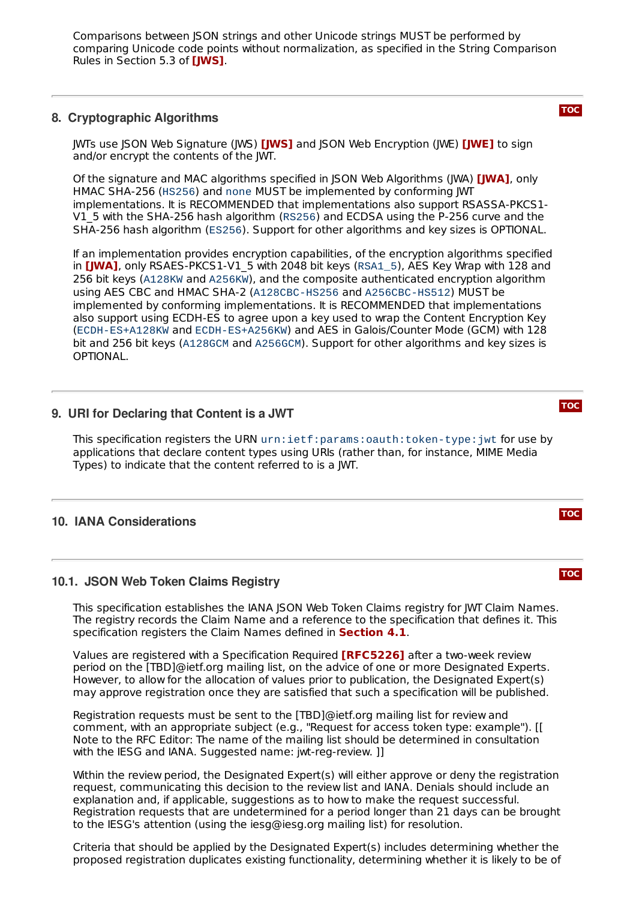Comparisons between JSON strings and other Unicode strings MUST be performed by comparing Unicode code points without normalization, as specified in the String Comparison Rules in Section 5.3 of **[\[JWS\]](#page-13-4)**.

# <span id="page-9-0"></span>**8. Cryptographic Algorithms**

**JWTs use JSON Web Signature (JWS) <b>[\[JWS\]](#page-13-4)** and JSON Web Encryption (JWE) **[\[JWE\]](#page-12-3)** to sign and/or encrypt the contents of the JWT.

Of the signature and MAC algorithms specified in JSON Web Algorithms (JWA) **[\[JWA\]](#page-12-6)**, only HMAC SHA-256 (HS256) and none MUST be implemented by conforming JWT implementations. It is RECOMMENDED that implementations also support RSASSA-PKCS1- V1\_5 with the SHA-256 hash algorithm (RS256) and ECDSA using the P-256 curve and the SHA-256 hash algorithm (ES256). Support for other algorithms and key sizes is OPTIONAL.

If an implementation provides encryption capabilities, of the encryption algorithms specified in **[\[JWA\]](#page-12-6)**, only RSAES-PKCS1-V1\_5 with 2048 bit keys (RSA1\_5), AES Key Wrap with 128 and 256 bit keys (A128KW and A256KW), and the composite authenticated encryption algorithm using AES CBC and HMAC SHA-2 (A128CBC-HS256 and A256CBC-HS512) MUST be implemented by conforming implementations. It is RECOMMENDED that implementations also support using ECDH-ES to agree upon a key used to wrap the Content Encryption Key (ECDH-ES+A128KW and ECDH-ES+A256KW) and AES in Galois/Counter Mode (GCM) with 128 bit and 256 bit keys (A128GCM and A256GCM). Support for other algorithms and key sizes is OPTIONAL.

# <span id="page-9-1"></span>**9. URI for Declaring that Content is a JWT**

This specification registers the URN urn:ietf:params:oauth:token-type:jwt for use by applications that declare content types using URIs (rather than, for instance, MIME Media Types) to indicate that the content referred to is a JWT.

### <span id="page-9-3"></span><span id="page-9-2"></span>**10. IANA Considerations**

#### **10.1. JSON Web Token Claims Registry**

This specification establishes the IANA ISON Web Token Claims registry for IWT Claim Names. The registry records the Claim Name and a reference to the specification that defines it. This specification registers the Claim Names defined in **[Section](#page-4-1) 4.1**.

Values are registered with a Specification Required **[\[RFC5226\]](#page-13-10)** after a two-week review period on the [TBD]@ietf.org mailing list, on the advice of one or more Designated Experts. However, to allow for the allocation of values prior to publication, the Designated Expert(s) may approve registration once they are satisfied that such a specification will be published.

Registration requests must be sent to the [TBD]@ietf.org mailing list for review and comment, with an appropriate subject (e.g., "Request for access token type: example"). [[ Note to the RFC Editor: The name of the mailing list should be determined in consultation with the IESG and IANA. Suggested name: jwt-reg-review. ]]

Within the review period, the Designated Expert(s) will either approve or deny the registration request, communicating this decision to the review list and IANA. Denials should include an explanation and, if applicable, suggestions as to how to make the request successful. Registration requests that are undetermined for a period longer than 21 days can be brought to the IESG's attention (using the iesg@iesg.org mailing list) for resolution.

Criteria that should be applied by the Designated Expert(s) includes determining whether the proposed registration duplicates existing functionality, determining whether it is likely to be of

#### **[TOC](#page-0-0)**

**[TOC](#page-0-0)**

**[TOC](#page-0-0)**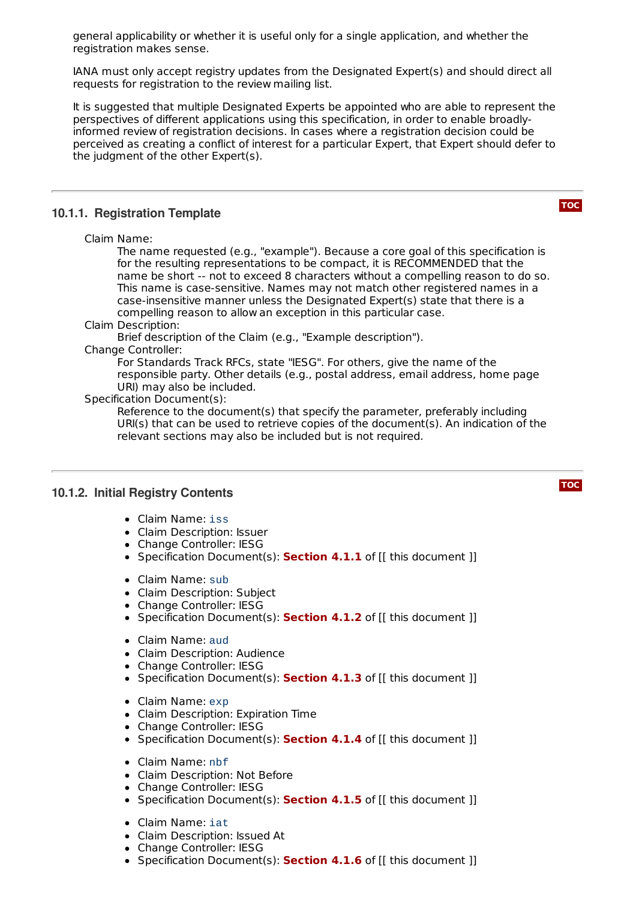general applicability or whether it is useful only for a single application, and whether the registration makes sense.

IANA must only accept registry updates from the Designated Expert(s) and should direct all requests for registration to the review mailing list.

It is suggested that multiple Designated Experts be appointed who are able to represent the perspectives of different applications using this specification, in order to enable broadlyinformed review of registration decisions. In cases where a registration decision could be perceived as creating a conflict of interest for a particular Expert, that Expert should defer to the judgment of the other Expert(s).

### <span id="page-10-0"></span>**10.1.1. Registration Template**

Claim Name:

The name requested (e.g., "example"). Because a core goal of this specification is for the resulting representations to be compact, it is RECOMMENDED that the name be short -- not to exceed 8 characters without a compelling reason to do so. This name is case-sensitive. Names may not match other registered names in a case-insensitive manner unless the Designated Expert(s) state that there is a compelling reason to allow an exception in this particular case.

#### Claim Description:

Brief description of the Claim (e.g., "Example description").

#### Change Controller:

For Standards Track RFCs, state "IESG". For others, give the name of the responsible party. Other details (e.g., postal address, email address, home page URI) may also be included.

#### Specification Document(s):

Reference to the document(s) that specify the parameter, preferably including URI(s) that can be used to retrieve copies of the document(s). An indication of the relevant sections may also be included but is not required.

# <span id="page-10-1"></span>**10.1.2. Initial Registry Contents**

- Claim Name: iss
- Claim Description: Issuer
- Change Controller: IESG
- Specification Document(s): **[Section](#page-4-2) 4.1.1** of [[ this document ]]
- Claim Name: sub
- Claim Description: Subject
- Change Controller: IESG
- Specification Document(s): **[Section](#page-4-3) 4.1.2** of [[ this document ]]
- Claim Name: aud
- Claim Description: Audience
- Change Controller: IESG
- Specification Document(s): **[Section](#page-5-0) 4.1.3** of [[ this document ]]
- Claim Name: exp
- Claim Description: Expiration Time
- Change Controller: IESG
- Specification Document(s): **[Section](#page-5-1) 4.1.4** of [[ this document ]]
- Claim Name: nbf
- Claim Description: Not Before
- Change Controller: IESG
- Specification Document(s): **[Section](#page-5-2) 4.1.5** of [[ this document ]]
- Claim Name: iat
- Claim Description: Issued At
- Change Controller: IESG
- Specification Document(s): **[Section](#page-5-3) 4.1.6** of [[ this document ]]

**[TOC](#page-0-0)**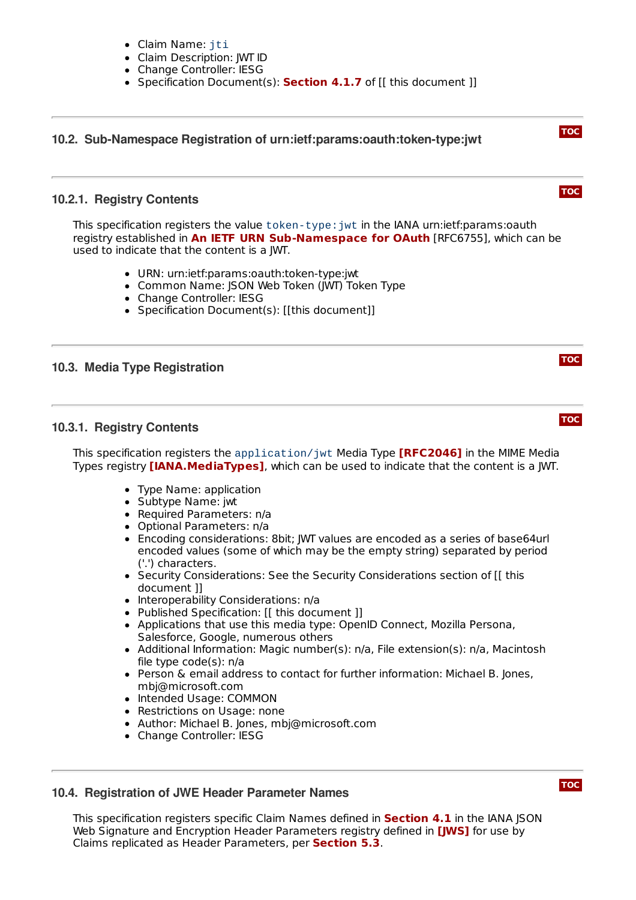- Claim Name: iti
- Claim Description: JWT ID
- Change Controller: IESG
- Specification Document(s): **[Section](#page-5-4) 4.1.7** of [[ this document ]]

# <span id="page-11-1"></span><span id="page-11-0"></span>**[TOC](#page-0-0) [TOC](#page-0-0) 10.2. Sub-Namespace Registration of urn:ietf:params:oauth:token-type:jwt 10.2.1. Registry Contents** This specification registers the value token-type:jwt in the IANA urn:ietf:params:oauth

**registry established in An IETF URN [Sub-Namespace](#page-13-11) for OAuth [RFC6755], which can be** used to indicate that the content is a JWT.

- URN: urn:ietf:params:oauth:token-type:jwt
- Common Name: JSON Web Token (JWT) Token Type
- Change Controller: IESG
- Specification Document(s): [[this document]]

# <span id="page-11-3"></span><span id="page-11-2"></span>**10.3. Media Type Registration**

# **10.3.1. Registry Contents**

This specification registers the application/jwt Media Type **[\[RFC2046\]](#page-13-12)** in the MIME Media Types registry **[\[IANA.MediaTypes\]](#page-12-5)**, which can be used to indicate that the content is a JWT.

- Type Name: application
- Subtype Name: jwt
- Required Parameters: n/a
- Optional Parameters: n/a
- Encoding considerations: 8bit; JWT values are encoded as a series of base64url encoded values (some of which may be the empty string) separated by period ('.') characters.
- Security Considerations: See the Security Considerations section of [[ this document ]]
- Interoperability Considerations: n/a
- Published Specification: [[ this document ]]
- Applications that use this media type: OpenID Connect, Mozilla Persona, Salesforce, Google, numerous others
- Additional Information: Magic number(s): n/a, File extension(s): n/a, Macintosh file type code(s): n/a
- Person & email address to contact for further information: Michael B. Jones, mbj@microsoft.com
- Intended Usage: COMMON
- Restrictions on Usage: none
- Author: Michael B. Jones, mbj@microsoft.com
- Change Controller: IESG

# <span id="page-11-4"></span>**10.4. Registration of JWE Header Parameter Names**

This specification registers specific Claim Names defined in **[Section](#page-4-1) 4.1** in the IANA JSON Web Signature and Encryption Header Parameters registry defined in **[\[JWS\]](#page-13-4)** for use by Claims replicated as Header Parameters, per **[Section](#page-6-4) 5.3**.

**[TOC](#page-0-0)**

**[TOC](#page-0-0)**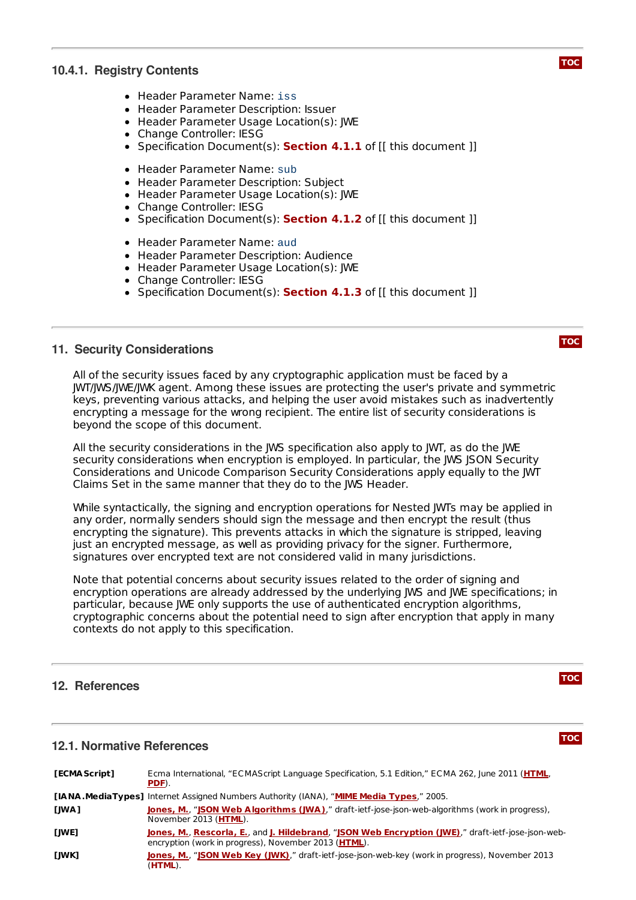# <span id="page-12-0"></span>**10.4.1. Registry Contents**

- Header Parameter Name: iss
- Header Parameter Description: Issuer
- Header Parameter Usage Location(s): JWE
- Change Controller: IESG
- Specification Document(s): **[Section](#page-4-2) 4.1.1** of [[ this document ]]
- Header Parameter Name: sub
- Header Parameter Description: Subject
- Header Parameter Usage Location(s): IWE
- Change Controller: IESG
- Specification Document(s): **[Section](#page-4-3) 4.1.2** of [[ this document ]]
- Header Parameter Name: aud
- Header Parameter Description: Audience
- Header Parameter Usage Location(s): JWE
- Change Controller: IESG
- Specification Document(s): **[Section](#page-5-0) 4.1.3** of [[ this document ]]

#### <span id="page-12-1"></span>**11. Security Considerations**

All of the security issues faced by any cryptographic application must be faced by a JWT/JWS/JWE/JWK agent. Among these issues are protecting the user's private and symmetric keys, preventing various attacks, and helping the user avoid mistakes such as inadvertently encrypting a message for the wrong recipient. The entire list of security considerations is beyond the scope of this document.

All the security considerations in the JWS specification also apply to JWT, as do the JWE security considerations when encryption is employed. In particular, the JWS JSON Security Considerations and Unicode Comparison Security Considerations apply equally to the JWT Claims Set in the same manner that they do to the JWS Header.

While syntactically, the signing and encryption operations for Nested JWTs may be applied in any order, normally senders should sign the message and then encrypt the result (thus encrypting the signature). This prevents attacks in which the signature is stripped, leaving just an encrypted message, as well as providing privacy for the signer. Furthermore, signatures over encrypted text are not considered valid in many jurisdictions.

Note that potential concerns about security issues related to the order of signing and encryption operations are already addressed by the underlying JWS and JWE specifications; in particular, because JWE only supports the use of authenticated encryption algorithms, cryptographic concerns about the potential need to sign after encryption that apply in many contexts do not apply to this specification.

### <span id="page-12-2"></span>**12. References**

#### **12.1. Normative References**

<span id="page-12-7"></span><span id="page-12-6"></span><span id="page-12-5"></span><span id="page-12-4"></span><span id="page-12-3"></span>

| [ECMA Script] | Ecma International, "ECMAScript Language Specification, 5.1 Edition," ECMA 262, June 2011 (HTML,<br>PDF).                                                           |
|---------------|---------------------------------------------------------------------------------------------------------------------------------------------------------------------|
|               | <b>[IANA.MediaTypes]</b> Internet Assigned Numbers Authority (IANA), "MIME Media Types," 2005.                                                                      |
| [JWA]         | <b>Jones, M., "JSON Web Algorithms (JWA)</b> ," draft-ietf-jose-json-web-algorithms (work in progress),<br>November 2013 (HTML).                                    |
| [JWE]         | Jones, M., Rescorla, E., and J. Hildebrand, "JSON Web Encryption (JWE)," draft-ietf-jose-json-web-<br>encryption (work in progress), November 2013 ( <b>HTML</b> ). |
| [JWK]         | <b>Jones, M., "JSON Web Key (JWK)</b> ," draft-ietf-jose-json-web-key (work in progress), November 2013<br>(HTML).                                                  |





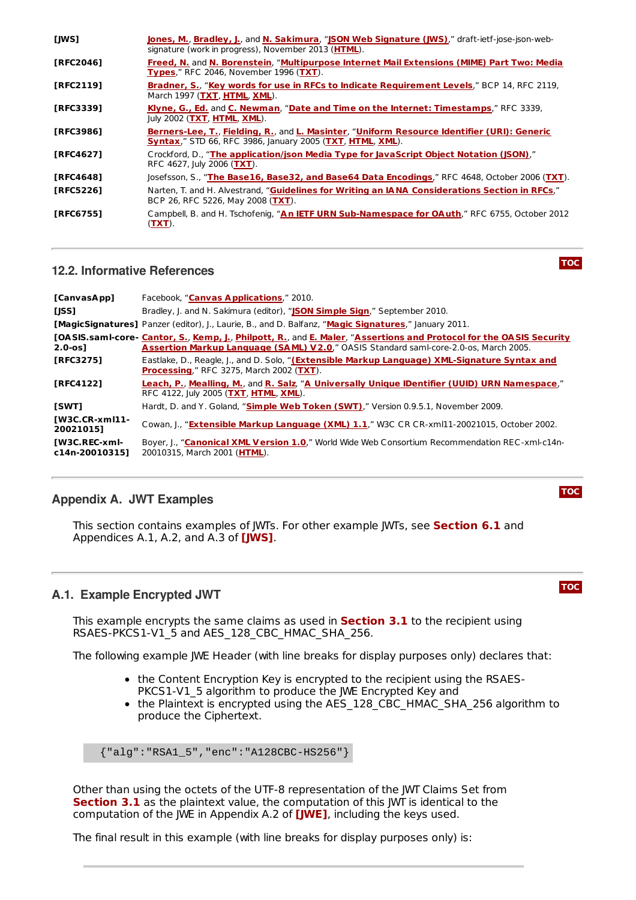<span id="page-13-12"></span><span id="page-13-9"></span><span id="page-13-8"></span><span id="page-13-5"></span><span id="page-13-4"></span>

| [JWS]            | Jones, M., Bradley, J., and N. Sakimura, "JSON Web Signature (JWS)," draft-ietf-jose-json-web-<br>signature (work in progress), November 2013 (HTML).           |
|------------------|-----------------------------------------------------------------------------------------------------------------------------------------------------------------|
| [RFC2046]        | Freed, N. and N. Borenstein, "Multipurpose Internet Mail Extensions (MIME) Part Two: Media<br><b>Types."</b> RFC 2046. November 1996 (TXT).                     |
| <b>TRFC21191</b> | Bradner, S., "Key words for use in RFCs to Indicate Requirement Levels," BCP 14, RFC 2119,<br>March 1997 (TXT, HTML, XML).                                      |
| <b>IRFC33391</b> | Klyne, G., Ed. and C. Newman, "Date and Time on the Internet: Timestamps," RFC 3339,<br>July 2002 (TXT, HTML, XML).                                             |
| [RFC3986]        | Berners-Lee, T., Fielding, R., and L. Masinter, "Uniform Resource Identifier (URI): Generic<br><b>Syntax," STD 66, RFC 3986, January 2005 (TXT, HTML, XML).</b> |
| [RFC4627]        | Crockford, D., "The application/json Media Type for JavaScript Object Notation (JSON),"<br>RFC 4627, July 2006 (TXT).                                           |
| [RFC4648]        | Josefsson, S., "The Base16, Base32, and Base64 Data Encodings," RFC 4648, October 2006 (TXT).                                                                   |
| <b>TRFC52261</b> | Narten, T. and H. Alvestrand, "Guidelines for Writing an IANA Considerations Section in RFCs,"<br>BCP 26, RFC 5226, May 2008 (TXT).                             |
| <b>TRFC67551</b> | Campbell, B. and H. Tschofenig, "An IETF URN Sub-Namespace for OAuth," RFC 6755, October 2012<br>(TXT).                                                         |

# <span id="page-13-11"></span><span id="page-13-10"></span><span id="page-13-6"></span><span id="page-13-3"></span><span id="page-13-0"></span>**12.2. Informative References**

<span id="page-13-20"></span><span id="page-13-19"></span><span id="page-13-18"></span><span id="page-13-15"></span><span id="page-13-13"></span><span id="page-13-7"></span>

| [CanvasApp]                            | Facebook, "Canvas Applications," 2010.                                                                                                                                                                      |
|----------------------------------------|-------------------------------------------------------------------------------------------------------------------------------------------------------------------------------------------------------------|
| [JSS]                                  | Bradley, J. and N. Sakimura (editor), "JSON Simple Sign," September 2010.                                                                                                                                   |
|                                        | <b>[MagicSignatures]</b> Panzer (editor), J., Laurie, B., and D. Balfanz, "Magic Signatures," January 2011.                                                                                                 |
| $2.0 - os1$                            | [OASIS.samI-core- Cantor, S., Kemp, J., Philpott, R., and E. Maler, "Assertions and Protocol for the OASIS Security<br>Assertion Markup Language (SAML) V2.0," OASIS Standard saml-core-2.0-os, March 2005. |
| <b>FRFC32751</b>                       | Eastlake, D., Reagle, J., and D. Solo, "(Extensible Markup Language) XML-Signature Syntax and<br><b>Processing," RFC 3275, March 2002 (TXT).</b>                                                            |
| <b>FRFC41221</b>                       | Leach, P., Mealling, M., and R. Salz, "A Universally Unique IDentifier (UUID) URN Namespace,"<br>RFC 4122, July 2005 (TXT, HTML, XML).                                                                      |
| <b>ISWTI</b>                           | Hardt, D. and Y. Goland, "Simple Web Token (SWT)," Version 0.9.5.1, November 2009.                                                                                                                          |
| $IW3C.CR-xm111-$<br>200210151          | Cowan, J., "Extensible Markup Language (XML) 1.1," W3C CR CR-xml11-20021015, October 2002.                                                                                                                  |
| <b>IW3C.REC-xml-</b><br>c14n-200103151 | Boyer, I., "Canonical XML Version 1.0," World Wide Web Consortium Recommendation REC-xml-c14n-<br>20010315, March 2001 (HTML).                                                                              |

# <span id="page-13-17"></span><span id="page-13-16"></span><span id="page-13-14"></span><span id="page-13-1"></span>**Appendix A. JWT Examples**

This section contains examples of JWTs. For other example JWTs, see **[Section](#page-7-1) 6.1** and Appendices A.1, A.2, and A.3 of **[\[JWS\]](#page-13-4)**.

# <span id="page-13-2"></span>**A.1. Example Encrypted JWT**

This example encrypts the same claims as used in **[Section](#page-3-0) 3.1** to the recipient using RSAES-PKCS1-V1\_5 and AES\_128\_CBC\_HMAC\_SHA\_256.

The following example JWE Header (with line breaks for display purposes only) declares that:

- the Content Encryption Key is encrypted to the recipient using the RSAES-PKCS1-V1\_5 algorithm to produce the JWE Encrypted Key and
- the Plaintext is encrypted using the AES\_128\_CBC\_HMAC\_SHA\_256 algorithm to produce the Ciphertext.

{"alg":"RSA1\_5","enc":"A128CBC-HS256"}

Other than using the octets of the UTF-8 representation of the JWT Claims Set from **[Section](#page-3-0) 3.1** as the plaintext value, the computation of this JWT is identical to the computation of the JWE in Appendix A.2 of **[\[JWE\]](#page-12-3)**, including the keys used.

The final result in this example (with line breaks for display purposes only) is:

#### **[TOC](#page-0-0)**

**[TOC](#page-0-0)**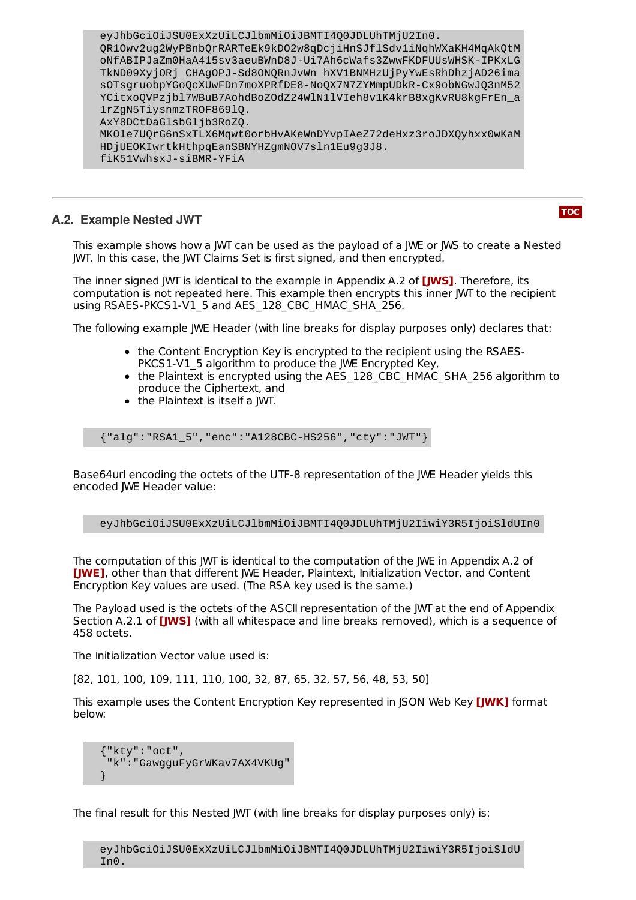eyJhbGciOiJSU0ExXzUiLCJlbmMiOiJBMTI4Q0JDLUhTMjU2In0. QR1Owv2ug2WyPBnbQrRARTeEk9kDO2w8qDcjiHnSJflSdv1iNqhWXaKH4MqAkQtM oNfABIPJaZm0HaA415sv3aeuBWnD8J-Ui7Ah6cWafs3ZwwFKDFUUsWHSK-IPKxLG TkND09XyjORj\_CHAgOPJ-Sd8ONQRnJvWn\_hXV1BNMHzUjPyYwEsRhDhzjAD26ima sOTsgruobpYGoQcXUwFDn7moXPRfDE8-NoQX7N7ZYMmpUDkR-Cx9obNGwJQ3nM52 YCitxo0VPzjbl7WBuB7AohdBoZ0dZ24WlN1lVIeh8v1K4krB8xqKvRU8kgFrEn\_a 1rZgN5TiysnmzTROF869lQ. AxY8DCtDaGlsbGljb3RoZQ. MKOle7UQrG6nSxTLX6Mqwt0orbHvAKeWnDYvpIAeZ72deHxz3roJDXQyhxx0wKaM HDjUEOKIwrtkHthpqEanSBNYHZgmNOV7sln1Eu9g3J8. fiK51VwhsxJ-siBMR-YFiA

# <span id="page-14-0"></span>**A.2. Example Nested JWT**

**[TOC](#page-0-0)**

This example shows how a JWT can be used as the payload of a JWE or JWS to create a Nested JWT. In this case, the JWT Claims Set is first signed, and then encrypted.

The inner signed JWT is identical to the example in Appendix A.2 of **[\[JWS\]](#page-13-4)**. Therefore, its computation is not repeated here. This example then encrypts this inner JWT to the recipient using RSAES-PKCS1-V1\_5 and AES\_128\_CBC\_HMAC\_SHA\_256.

The following example JWE Header (with line breaks for display purposes only) declares that:

- the Content Encryption Key is encrypted to the recipient using the RSAES-PKCS1-V1\_5 algorithm to produce the JWE Encrypted Key,
- the Plaintext is encrypted using the AES 128 CBC\_HMAC\_SHA\_256 algorithm to produce the Ciphertext, and
- the Plaintext is itself a JWT.

{"alg":"RSA1\_5","enc":"A128CBC-HS256","cty":"JWT"}

Base64url encoding the octets of the UTF-8 representation of the JWE Header yields this encoded JWE Header value:

eyJhbGciOiJSU0ExXzUiLCJlbmMiOiJBMTI4Q0JDLUhTMjU2IiwiY3R5IjoiSldUIn0

The computation of this JWT is identical to the computation of the JWE in Appendix A.2 of **[\[JWE\]](#page-12-3)**, other than that different JWE Header, Plaintext, Initialization Vector, and Content Encryption Key values are used. (The RSA key used is the same.)

The Payload used is the octets of the ASCII representation of the JWT at the end of Appendix Section A.2.1 of [\[JWS\]](#page-13-4) (with all whitespace and line breaks removed), which is a sequence of 458 octets.

The Initialization Vector value used is:

[82, 101, 100, 109, 111, 110, 100, 32, 87, 65, 32, 57, 56, 48, 53, 50]

This example uses the Content Encryption Key represented in JSON Web Key **[\[JWK\]](#page-12-7)** format below:

{"kty":"oct", "k":"GawgguFyGrWKav7AX4VKUg" }

The final result for this Nested JWT (with line breaks for display purposes only) is:

eyJhbGciOiJSU0ExXzUiLCJlbmMiOiJBMTI4Q0JDLUhTMjU2IiwiY3R5IjoiSldU In0.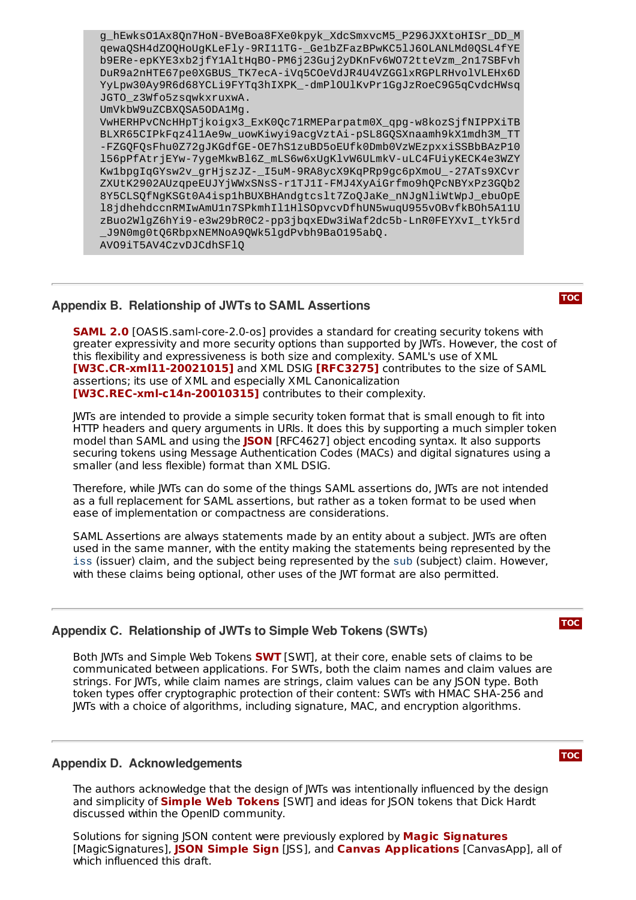g\_hEwksO1Ax8Qn7HoN-BVeBoa8FXe0kpyk\_XdcSmxvcM5\_P296JXXtoHISr\_DD\_M qewaQSH4dZOQHoUgKLeFly-9RI11TG-\_Ge1bZFazBPwKC5lJ6OLANLMd0QSL4fYE b9ERe-epKYE3xb2jfY1AltHqBO-PM6j23Guj2yDKnFv6WO72tteVzm\_2n17SBFvh DuR9a2nHTE67pe0XGBUS\_TK7ecA-iVq5COeVdJR4U4VZGGlxRGPLRHvolVLEHx6D YyLpw30Ay9R6d68YCLi9FYTq3hIXPK\_-dmPlOUlKvPr1GgJzRoeC9G5qCvdcHWsq JGTO\_z3Wfo5zsqwkxruxwA. UmVkbW9uZCBXQSA5ODA1Mg. VwHERHPvCNcHHpTjkoigx3\_ExK0Qc71RMEParpatm0X\_qpg-w8kozSjfNIPPXiTB BLXR65CIPkFqz4l1Ae9w\_uowKiwyi9acgVztAi-pSL8GQSXnaamh9kX1mdh3M\_TT -FZGQFQsFhu0Z72gJKGdfGE-OE7hS1zuBD5oEUfk0Dmb0VzWEzpxxiSSBbBAzP10 l56pPfAtrjEYw-7ygeMkwBl6Z\_mLS6w6xUgKlvW6ULmkV-uLC4FUiyKECK4e3WZY Kw1bpgIqGYsw2v\_grHjszJZ-\_I5uM-9RA8ycX9KqPRp9gc6pXmoU\_-27ATs9XCvr ZXUtK2902AUzqpeEUJYjWWxSNsS-r1TJ1I-FMJ4XyAiGrfmo9hQPcNBYxPz3GQb2 8Y5CLSQfNgKSGt0A4isp1hBUXBHAndgtcslt7ZoQJaKe\_nNJgNliWtWpJ\_ebuOpE l8jdhehdccnRMIwAmU1n7SPkmhIl1HlSOpvcvDfhUN5wuqU955vOBvfkBOh5A11U zBuo2WlgZ6hYi9-e3w29bR0C2-pp3jbqxEDw3iWaf2dc5b-LnR0FEYXvI\_tYk5rd \_J9N0mg0tQ6RbpxNEMNoA9QWk5lgdPvbh9BaO195abQ. AVO9iT5AV4CzvDJCdhSFlQ

# <span id="page-15-0"></span>**Appendix B. Relationship of JWTs to SAML Assertions**

**[SAML](#page-13-13) 2.0** [OASIS.samI-core-2.0-os] provides a standard for creating security tokens with greater expressivity and more security options than supported by JWTs. However, the cost of this flexibility and expressiveness is both size and complexity. SAML's use of XML **[W3C.CR-xml11-[20021015\]](#page-13-14)** and XML DSIG [\[RFC3275\]](#page-13-15) contributes to the size of SAML assertions; its use of XML and especially XML Canonicalization **[W3C.REC-xml-c14n-[20010315\]](#page-13-16)** contributes to their complexity.

JWTs are intended to provide a simple security token format that is small enough to fit into HTTP headers and query arguments in URIs. It does this by supporting a much simpler token model than SAML and using the **[JSON](#page-13-3)** [RFC4627] object encoding syntax. It also supports securing tokens using Message Authentication Codes (MACs) and digital signatures using a smaller (and less flexible) format than XML DSIG.

Therefore, while JWTs can do some of the things SAML assertions do, JWTs are not intended as a full replacement for SAML assertions, but rather as a token format to be used when ease of implementation or compactness are considerations.

SAML Assertions are always statements made by an entity about a subject. JWTs are often used in the same manner, with the entity making the statements being represented by the iss (issuer) claim, and the subject being represented by the sub (subject) claim. However, with these claims being optional, other uses of the JWT format are also permitted.

# <span id="page-15-1"></span>**Appendix C. Relationship of JWTs to Simple Web Tokens (SWTs)**

Both JWTs and Simple Web Tokens **[SWT](#page-13-17)** [SWT], at their core, enable sets of claims to be communicated between applications. For SWTs, both the claim names and claim values are strings. For JWTs, while claim names are strings, claim values can be any JSON type. Both token types offer cryptographic protection of their content: SWTs with HMAC SHA-256 and JWTs with a choice of algorithms, including signature, MAC, and encryption algorithms.

# <span id="page-15-2"></span>**Appendix D. Acknowledgements**

The authors acknowledge that the design of JWTs was intentionally influenced by the design and simplicity of **Simple Web [Tokens](#page-13-17)** [SWT] and ideas for JSON tokens that Dick Hardt discussed within the OpenID community.

Solutions for signing JSON content were previously explored by **Magic [Signatures](#page-13-18)** [MagicSignatures], **JSON [Simple](#page-13-19) Sign** [JSS], and **Canvas [Applications](#page-13-20)** [CanvasApp], all of which influenced this draft.

**[TOC](#page-0-0)**

**[TOC](#page-0-0)**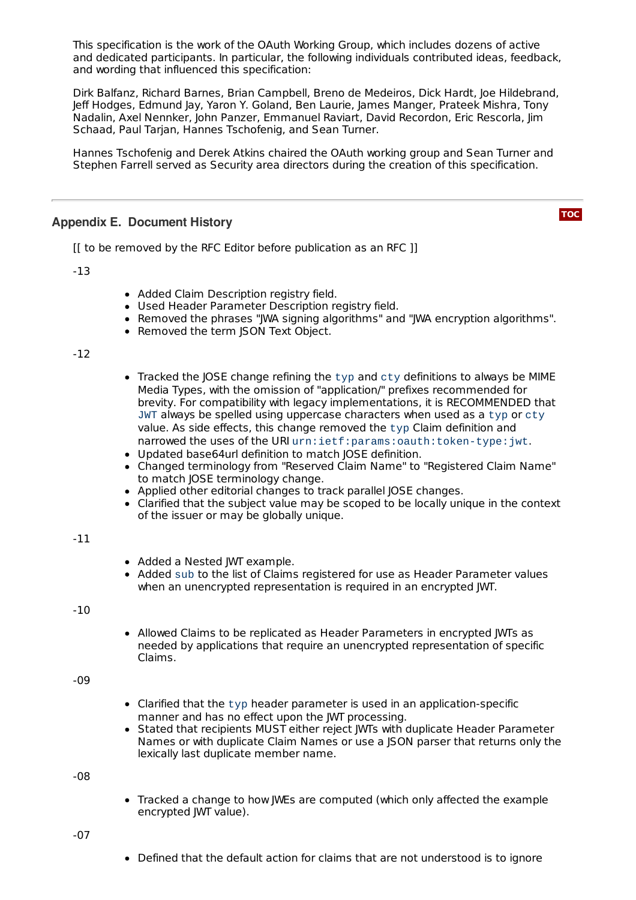This specification is the work of the OAuth Working Group, which includes dozens of active and dedicated participants. In particular, the following individuals contributed ideas, feedback, and wording that influenced this specification:

Dirk Balfanz, Richard Barnes, Brian Campbell, Breno de Medeiros, Dick Hardt, Joe Hildebrand, Jeff Hodges, Edmund Jay, Yaron Y. Goland, Ben Laurie, James Manger, Prateek Mishra, Tony Nadalin, Axel Nennker, John Panzer, Emmanuel Raviart, David Recordon, Eric Rescorla, Jim Schaad, Paul Tarjan, Hannes Tschofenig, and Sean Turner.

Hannes Tschofenig and Derek Atkins chaired the OAuth working group and Sean Turner and Stephen Farrell served as Security area directors during the creation of this specification.

### <span id="page-16-0"></span>**Appendix E. Document History**

**[TOC](#page-0-0)**

[[ to be removed by the RFC Editor before publication as an RFC ]]

-13

- Added Claim Description registry field.
- Used Header Parameter Description registry field.
- Removed the phrases "JWA signing algorithms" and "JWA encryption algorithms".
- Removed the term JSON Text Object.

-12

- $\bullet$  Tracked the JOSE change refining the typ and cty definitions to always be MIME Media Types, with the omission of "application/" prefixes recommended for brevity. For compatibility with legacy implementations, it is RECOMMENDED that JWT always be spelled using uppercase characters when used as a typ or cty value. As side effects, this change removed the typ Claim definition and narrowed the uses of the URI urn:ietf:params:oauth:token-type:jwt.
- Updated base64url definition to match JOSE definition.
- Changed terminology from "Reserved Claim Name" to "Registered Claim Name" to match JOSE terminology change.
- Applied other editorial changes to track parallel JOSE changes.
- Clarified that the subject value may be scoped to be locally unique in the context of the issuer or may be globally unique.

#### -11

- Added a Nested JWT example.
- Added sub to the list of Claims registered for use as Header Parameter values when an unencrypted representation is required in an encrypted JWT.

-10

• Allowed Claims to be replicated as Header Parameters in encrypted JWTs as needed by applications that require an unencrypted representation of specific Claims.

-09

- Clarified that the typ header parameter is used in an application-specific manner and has no effect upon the JWT processing.
- Stated that recipients MUST either reject JWTs with duplicate Header Parameter Names or with duplicate Claim Names or use a JSON parser that returns only the lexically last duplicate member name.

-08

Tracked a change to how JWEs are computed (which only affected the example encrypted JWT value).

-07

• Defined that the default action for claims that are not understood is to ignore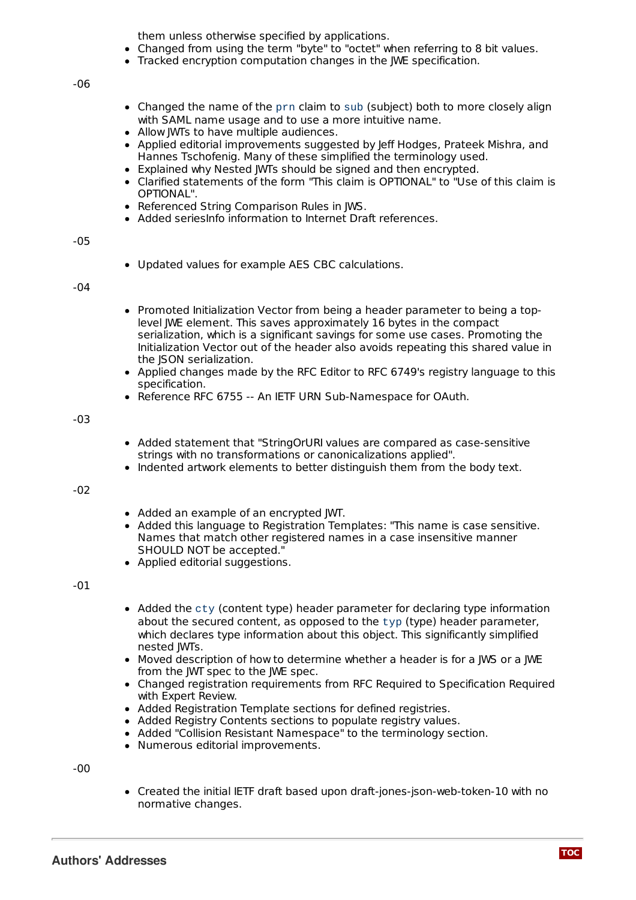them unless otherwise specified by applications.

- Changed from using the term "byte" to "octet" when referring to 8 bit values.
- Tracked encryption computation changes in the JWE specification.

-06

- Changed the name of the prn claim to sub (subject) both to more closely align with SAML name usage and to use a more intuitive name.
- Allow JWTs to have multiple audiences.
- Applied editorial improvements suggested by Jeff Hodges, Prateek Mishra, and Hannes Tschofenig. Many of these simplified the terminology used.
- Explained why Nested JWTs should be signed and then encrypted.
- Clarified statements of the form "This claim is OPTIONAL" to "Use of this claim is OPTIONAL".
- Referenced String Comparison Rules in JWS.
- Added seriesInfo information to Internet Draft references.

#### -05

Updated values for example AES CBC calculations.

#### -04

- Promoted Initialization Vector from being a header parameter to being a toplevel JWE element. This saves approximately 16 bytes in the compact serialization, which is a significant savings for some use cases. Promoting the Initialization Vector out of the header also avoids repeating this shared value in the JSON serialization.
- Applied changes made by the RFC Editor to RFC 6749's registry language to this specification.
- Reference RFC 6755 -- An IETF URN Sub-Namespace for OAuth.

#### -03

- Added statement that "StringOrURI values are compared as case-sensitive strings with no transformations or canonicalizations applied".
- Indented artwork elements to better distinguish them from the body text.

#### -02

- Added an example of an encrypted JWT.
- Added this language to Registration Templates: "This name is case sensitive. Names that match other registered names in a case insensitive manner SHOULD NOT be accepted."
- Applied editorial suggestions.

#### -01

- $\bullet$  Added the cty (content type) header parameter for declaring type information about the secured content, as opposed to the typ (type) header parameter, which declares type information about this object. This significantly simplified nested JWTs.
- Moved description of how to determine whether a header is for a JWS or a JWE from the JWT spec to the JWE spec.
- Changed registration requirements from RFC Required to Specification Required with Expert Review.
- Added Registration Template sections for defined registries.
- Added Registry Contents sections to populate registry values.
- Added "Collision Resistant Namespace" to the terminology section.
- Numerous editorial improvements.

<span id="page-17-0"></span>-00

• Created the initial IETF draft based upon draft-jones-json-web-token-10 with no normative changes.